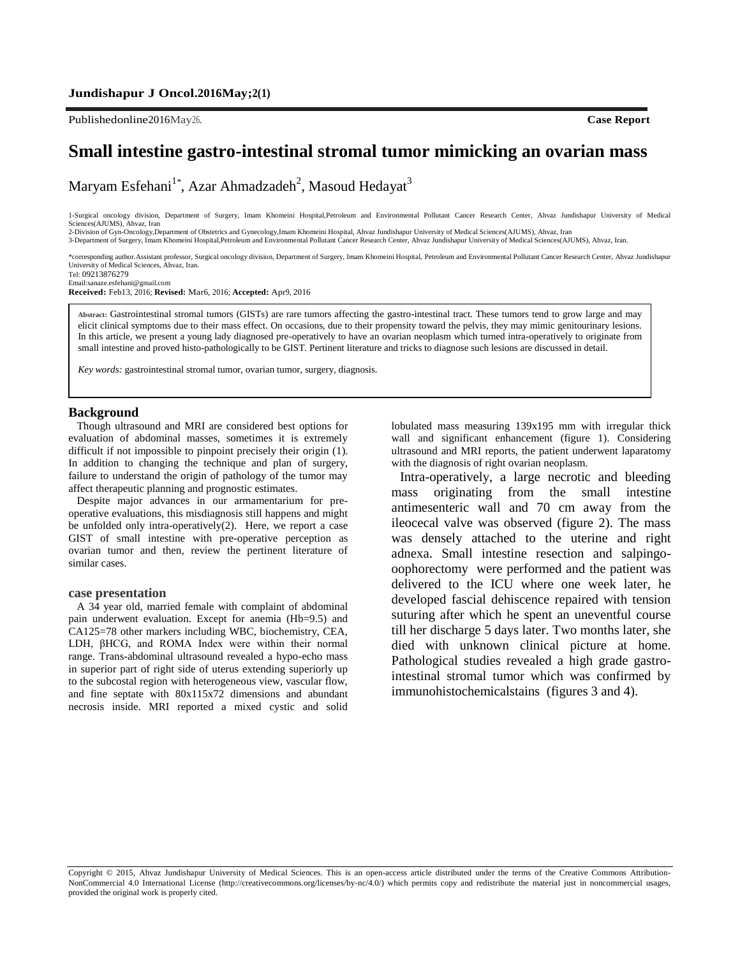Publishedonline2016May26. **Case Report**

# **Small intestine gastro-intestinal stromal tumor mimicking an ovarian mass**

Maryam Esfehani<sup>1</sup>\*, Azar Ahmadzadeh<sup>2</sup>, Masoud Hedayat<sup>3</sup>

1-Surgical oncology division, Department of Surgery, Imam Khomeini Hospital,Petroleum and Environmental Pollutant Cancer Research Center, Ahvaz Jundishapur University of Medical Sciences(AJUMS), Ahvaz, Iran

2-Division of Gyn-Oncology,Department of Obstetrics and Gynecology,Imam Khomeini Hospital, Ahvaz Jundishapur University of Medical Sciences(AJUMS), Ahvaz, Iran<br>3-Department of Surgery, Imam Khomeini Hospital,Petroleum and

\*corresponding author*.*Assistant professor, Surgical oncology division, Department of Surgery, Imam Khomeini Hospital, Petroleum and Environmental Pollutant Cancer Research Center, Ahvaz Jundishapur University of Medical Sciences, Ahvaz, Iran. Tel: 09213876279

Emai[l:sanaze.esfehani@gmail.com](mailto:sanaze.esfehani@gmail.com)

**Received:** Feb13, 2016; **Revised:** Mar6, 2016; **Accepted:** Apr9, 2016

**Abstract:** Gastrointestinal stromal tumors (GISTs) are rare tumors affecting the gastro-intestinal tract. These tumors tend to grow large and may elicit clinical symptoms due to their mass effect. On occasions, due to their propensity toward the pelvis, they may mimic genitourinary lesions. In this article, we present a young lady diagnosed pre-operatively to have an ovarian neoplasm which turned intra-operatively to originate from small intestine and proved histo-pathologically to be GIST. Pertinent literature and tricks to diagnose such lesions are discussed in detail.

*Key words:* gastrointestinal stromal tumor, ovarian tumor, surgery, diagnosis.

### **Background**

Though ultrasound and MRI are considered best options for evaluation of abdominal masses, sometimes it is extremely difficult if not impossible to pinpoint precisely their origin (1). In addition to changing the technique and plan of surgery, failure to understand the origin of pathology of the tumor may affect therapeutic planning and prognostic estimates.

Despite major advances in our armamentarium for preoperative evaluations, this misdiagnosis still happens and might be unfolded only intra-operatively(2). Here, we report a case GIST of small intestine with pre-operative perception as ovarian tumor and then, review the pertinent literature of similar cases.

#### **case presentation**

A 34 year old, married female with complaint of abdominal pain underwent evaluation. Except for anemia (Hb=9.5) and CA125=78 other markers including WBC, biochemistry, CEA, LDH, βHCG, and ROMA Index were within their normal range. Trans-abdominal ultrasound revealed a hypo-echo mass in superior part of right side of uterus extending superiorly up to the subcostal region with heterogeneous view, vascular flow, and fine septate with 80x115x72 dimensions and abundant necrosis inside. MRI reported a mixed cystic and solid lobulated mass measuring 139x195 mm with irregular thick wall and significant enhancement (figure 1). Considering ultrasound and MRI reports, the patient underwent laparatomy with the diagnosis of right ovarian neoplasm.

Intra-operatively, a large necrotic and bleeding mass originating from the small intestine antimesenteric wall and 70 cm away from the ileocecal valve was observed (figure 2). The mass was densely attached to the uterine and right adnexa. Small intestine resection and salpingooophorectomy were performed and the patient was delivered to the ICU where one week later, he developed fascial dehiscence repaired with tension suturing after which he spent an uneventful course till her discharge 5 days later. Two months later, she died with unknown clinical picture at home. Pathological studies revealed a high grade gastrointestinal stromal tumor which was confirmed by immunohistochemicalstains (figures 3 and 4).

Copyright © 2015, Ahvaz Jundishapur University of Medical Sciences. This is an open-access article distributed under the terms of the Creative Commons Attribution-NonCommercial 4.0 International License (http://creativecommons.org/licenses/by-nc/4.0/) which permits copy and redistribute the material just in noncommercial usages, provided the original work is properly cited.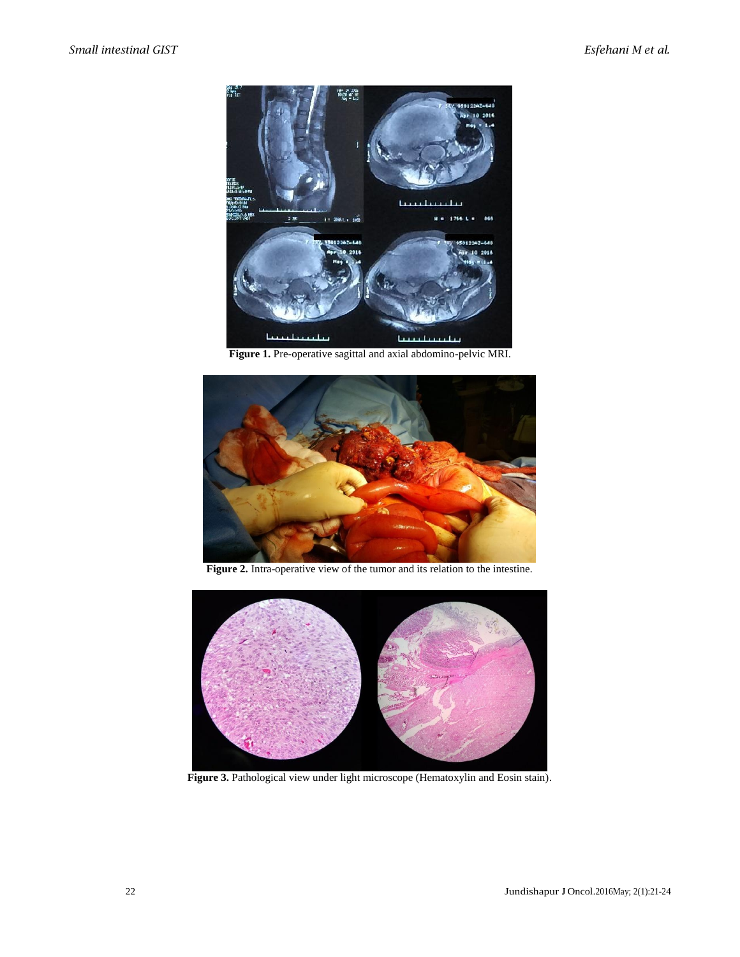

**Figure 1.** Pre-operative sagittal and axial abdomino-pelvic MRI.



**Figure 2.** Intra-operative view of the tumor and its relation to the intestine.



Figure 3. Pathological view under light microscope (Hematoxylin and Eosin stain).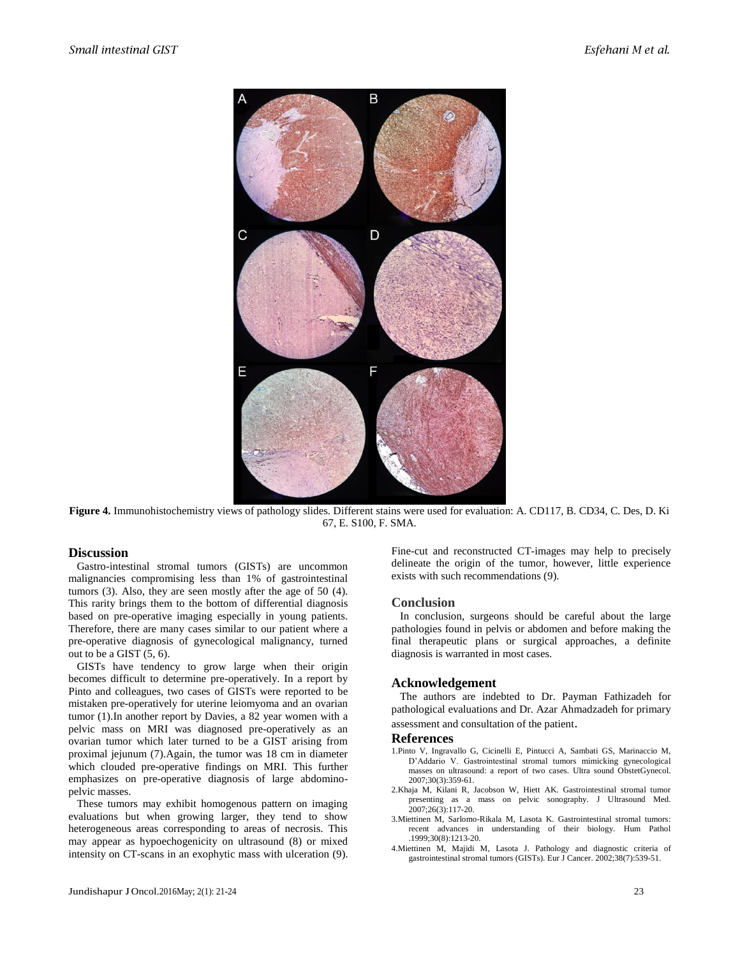

**Figure 4.** Immunohistochemistry views of pathology slides. Different stains were used for evaluation: A. CD117, B. CD34, C. Des, D. Ki 67, E. S100, F. SMA.

## **Discussion**

Gastro-intestinal stromal tumors (GISTs) are uncommon malignancies compromising less than 1% of gastrointestinal tumors (3). Also, they are seen mostly after the age of 50 (4). This rarity brings them to the bottom of differential diagnosis based on pre-operative imaging especially in young patients. Therefore, there are many cases similar to our patient where a pre-operative diagnosis of gynecological malignancy, turned out to be a GIST (5, 6).

GISTs have tendency to grow large when their origin becomes difficult to determine pre-operatively. In a report by Pinto and colleagues, two cases of GISTs were reported to be mistaken pre-operatively for uterine leiomyoma and an ovarian tumor (1).In another report by Davies, a 82 year women with a pelvic mass on MRI was diagnosed pre-operatively as an ovarian tumor which later turned to be a GIST arising from proximal jejunum (7).Again, the tumor was 18 cm in diameter which clouded pre-operative findings on MRI. This further emphasizes on pre-operative diagnosis of large abdominopelvic masses.

These tumors may exhibit homogenous pattern on imaging evaluations but when growing larger, they tend to show heterogeneous areas corresponding to areas of necrosis. This may appear as hypoechogenicity on ultrasound (8) or mixed intensity on CT-scans in an exophytic mass with ulceration (9). Fine-cut and reconstructed CT-images may help to precisely delineate the origin of the tumor, however, little experience exists with such recommendations (9).

## **Conclusion**

In conclusion, surgeons should be careful about the large pathologies found in pelvis or abdomen and before making the final therapeutic plans or surgical approaches, a definite diagnosis is warranted in most cases.

# **Acknowledgement**

The authors are indebted to Dr. Payman Fathizadeh for pathological evaluations and Dr. Azar Ahmadzadeh for primary assessment and consultation of the patient.

#### **References**

- 1.Pinto V, Ingravallo G, Cicinelli E, Pintucci A, Sambati GS, Marinaccio M, D'Addario V. Gastrointestinal stromal tumors mimicking gynecological masses on ultrasound: a report of two cases. Ultra sound ObstetGynecol. 2007;30(3):359-61.
- 2.Khaja M, Kilani R, Jacobson W, Hiett AK. Gastrointestinal stromal tumor presenting as a mass on pelvic sonography. J Ultrasound Med.  $2007:26(3):117-20.$
- 3.Miettinen M, Sarlomo-Rikala M, Lasota K. Gastrointestinal stromal tumors: recent advances in understanding of their biology. Hum Pathol .1999;30(8):1213-20.
- 4.Miettinen M, Majidi M, Lasota J. Pathology and diagnostic criteria of gastrointestinal stromal tumors (GISTs). Eur J Cancer. 2002;38(7):539-51.